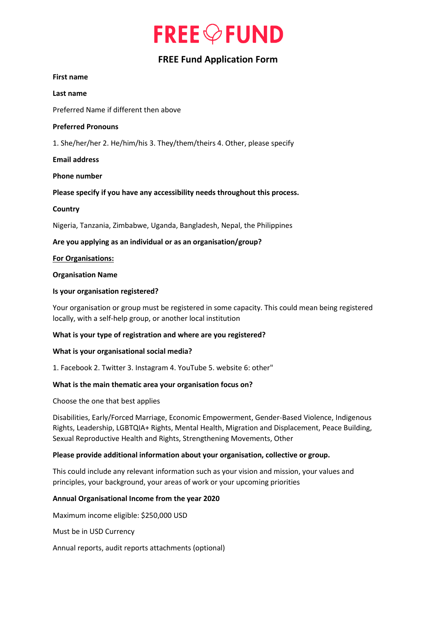# **FREE** OF UND

# **FREE Fund Application Form**

#### **First name**

**Last name**

Preferred Name if different then above

#### **Preferred Pronouns**

1. She/her/her 2. He/him/his 3. They/them/theirs 4. Other, please specify

#### **Email address**

#### **Phone number**

**Please specify if you have any accessibility needs throughout this process.** 

#### **Country**

Nigeria, Tanzania, Zimbabwe, Uganda, Bangladesh, Nepal, the Philippines

**Are you applying as an individual or as an organisation/group?**

#### **For Organisations:**

#### **Organisation Name**

#### **Is your organisation registered?**

Your organisation or group must be registered in some capacity. This could mean being registered locally, with a self-help group, or another local institution

# **What is your type of registration and where are you registered?**

#### **What is your organisational social media?**

1. Facebook 2. Twitter 3. Instagram 4. YouTube 5. website 6: other"

# **What is the main thematic area your organisation focus on?**

Choose the one that best applies

Disabilities, Early/Forced Marriage, Economic Empowerment, Gender-Based Violence, Indigenous Rights, Leadership, LGBTQIA+ Rights, Mental Health, Migration and Displacement, Peace Building, Sexual Reproductive Health and Rights, Strengthening Movements, Other

#### **Please provide additional information about your organisation, collective or group.**

This could include any relevant information such as your vision and mission, your values and principles, your background, your areas of work or your upcoming priorities

# **Annual Organisational Income from the year 2020**

Maximum income eligible: \$250,000 USD

Must be in USD Currency

Annual reports, audit reports attachments (optional)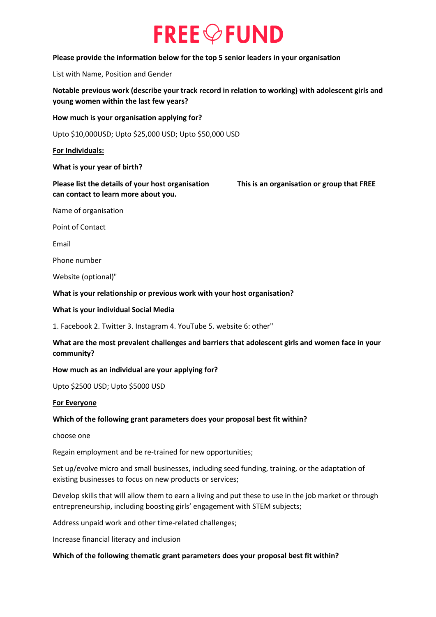# **FREE** OF UND

#### **Please provide the information below for the top 5 senior leaders in your organisation**

List with Name, Position and Gender

**Notable previous work (describe your track record in relation to working) with adolescent girls and young women within the last few years?**

**How much is your organisation applying for?**

Upto \$10,000USD; Upto \$25,000 USD; Upto \$50,000 USD

**For Individuals:**

**What is your year of birth?**

**Please list the details of your host organisation This is an organisation or group that FREE can contact to learn more about you.**

Name of organisation

Point of Contact

Email

Phone number

Website (optional)"

**What is your relationship or previous work with your host organisation?**

#### **What is your individual Social Media**

1. Facebook 2. Twitter 3. Instagram 4. YouTube 5. website 6: other"

# **What are the most prevalent challenges and barriers that adolescent girls and women face in your community?**

#### **How much as an individual are your applying for?**

Upto \$2500 USD; Upto \$5000 USD

**For Everyone**

#### **Which of the following grant parameters does your proposal best fit within?**

choose one

Regain employment and be re-trained for new opportunities;

Set up/evolve micro and small businesses, including seed funding, training, or the adaptation of existing businesses to focus on new products or services;

Develop skills that will allow them to earn a living and put these to use in the job market or through entrepreneurship, including boosting girls' engagement with STEM subjects;

Address unpaid work and other time-related challenges;

Increase financial literacy and inclusion

#### **Which of the following thematic grant parameters does your proposal best fit within?**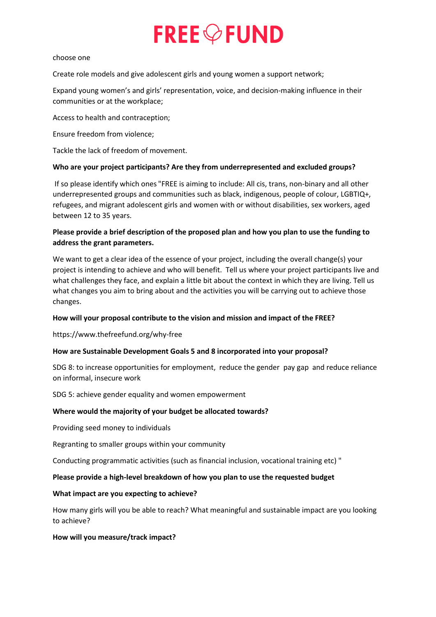# **FREE** OFUND

#### choose one

Create role models and give adolescent girls and young women a support network;

Expand young women's and girls' representation, voice, and decision-making influence in their communities or at the workplace;

Access to health and contraception;

Ensure freedom from violence;

Tackle the lack of freedom of movement.

# **Who are your project participants? Are they from underrepresented and excluded groups?**

If so please identify which ones "FREE is aiming to include: All cis, trans, non-binary and all other underrepresented groups and communities such as black, indigenous, people of colour, LGBTIQ+, refugees, and migrant adolescent girls and women with or without disabilities, sex workers, aged between 12 to 35 years.

# **Please provide a brief description of the proposed plan and how you plan to use the funding to address the grant parameters.**

We want to get a clear idea of the essence of your project, including the overall change(s) your project is intending to achieve and who will benefit. Tell us where your project participants live and what challenges they face, and explain a little bit about the context in which they are living. Tell us what changes you aim to bring about and the activities you will be carrying out to achieve those changes.

# **How will your proposal contribute to the vision and mission and impact of the FREE?**

https://www.thefreefund.org/why-free

# **How are Sustainable Development Goals 5 and 8 incorporated into your proposal?**

SDG 8: to increase opportunities for employment, reduce the gender pay gap and reduce reliance on informal, insecure work

SDG 5: achieve gender equality and women empowerment

# **Where would the majority of your budget be allocated towards?**

Providing seed money to individuals

Regranting to smaller groups within your community

Conducting programmatic activities (such as financial inclusion, vocational training etc) "

# **Please provide a high-level breakdown of how you plan to use the requested budget**

# **What impact are you expecting to achieve?**

How many girls will you be able to reach? What meaningful and sustainable impact are you looking to achieve?

# **How will you measure/track impact?**